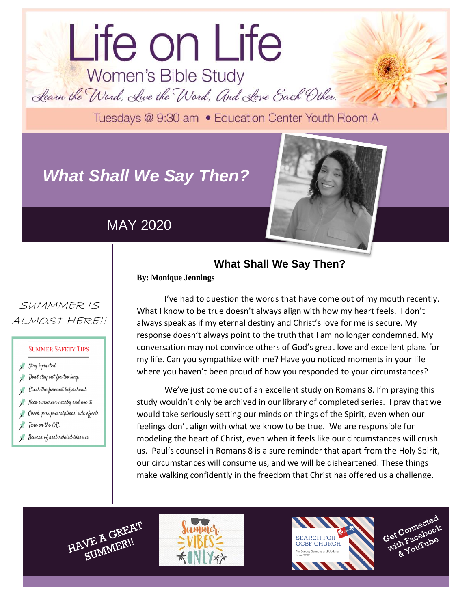# Life on Life Women's Bible Study Learn the Word, Live the Word, And Love Each Other.

Tuesdays @ 9:30 am . Education Center Youth Room A

# *What Shall We Say Then?*

## MAY 2020



## **What Shall We Say Then?**

**By: Monique Jennings**

SUMMMER IS ALMOST HERE!!

#### **SUMMER SAFETY TIPS**

- Stay hydrated.
- Don't stay out for too long.
- Check the fonecast beforehand.
- Keep sunscreen nearby and use it.
- Check your prescriptions' side effects.
- $\overline{f}$  Turn on the  $A/C$ .
- Beware of heat-related illnesses.

**"tbd"** I've had to question the words that have come out of my mouth recently. What I know to be true doesn't always align with how my heart feels. I don't always speak as if my eternal destiny and Christ's love for me is secure. My response doesn't always point to the truth that I am no longer condemned. My conversation may not convince others of God's great love and excellent plans for my life. Can you sympathize with me? Have you noticed moments in your life where you haven't been proud of how you responded to your circumstances?

We've just come out of an excellent study on Romans 8. I'm praying this study wouldn't only be archived in our library of completed series. I pray that we would take seriously setting our minds on things of the Spirit, even when our feelings don't align with what we know to be true. We are responsible for modeling the heart of Christ, even when it feels like our circumstances will crush us. Paul's counsel in Romans 8 is a sure reminder that apart from the Holy Spirit, our circumstances will consume us, and we will be disheartened. These things make walking confidently in the freedom that Christ has offered us a challenge.









dolor sit amet.